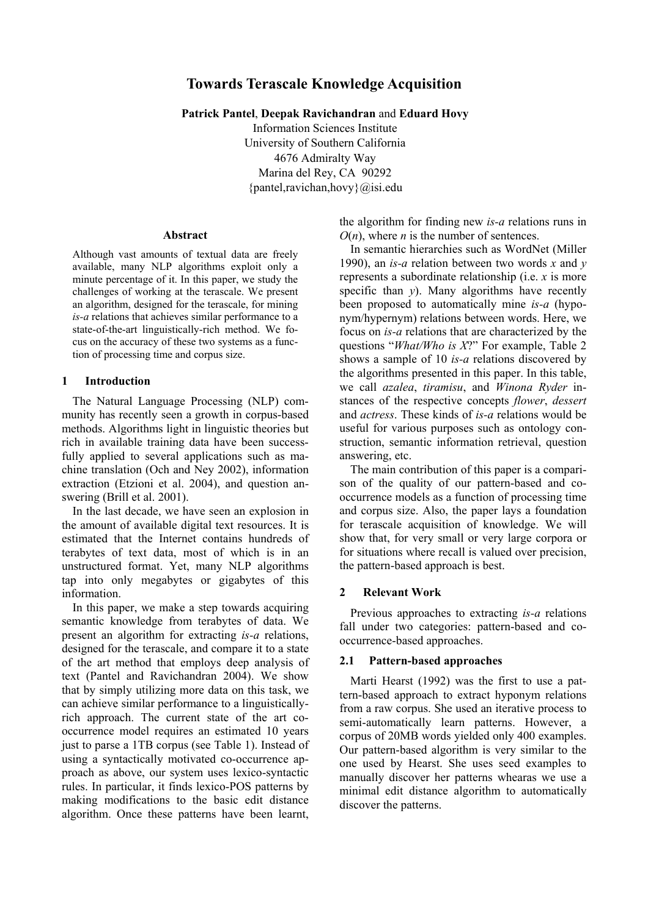# **Towards Terascale Knowledge Acquisition**

**Patrick Pantel**, **Deepak Ravichandran** and **Eduard Hovy** 

Information Sciences Institute University of Southern California 4676 Admiralty Way Marina del Rey, CA 90292 {pantel,ravichan,hovy}@isi.edu

#### **Abstract**

Although vast amounts of textual data are freely available, many NLP algorithms exploit only a minute percentage of it. In this paper, we study the challenges of working at the terascale. We present an algorithm, designed for the terascale, for mining *is-a* relations that achieves similar performance to a state-of-the-art linguistically-rich method. We focus on the accuracy of these two systems as a function of processing time and corpus size.

## **1 Introduction**

The Natural Language Processing (NLP) community has recently seen a growth in corpus-based methods. Algorithms light in linguistic theories but rich in available training data have been successfully applied to several applications such as machine translation (Och and Ney 2002), information extraction (Etzioni et al. 2004), and question answering (Brill et al. 2001).

In the last decade, we have seen an explosion in the amount of available digital text resources. It is estimated that the Internet contains hundreds of terabytes of text data, most of which is in an unstructured format. Yet, many NLP algorithms tap into only megabytes or gigabytes of this information.

In this paper, we make a step towards acquiring semantic knowledge from terabytes of data. We present an algorithm for extracting *is-a* relations, designed for the terascale, and compare it to a state of the art method that employs deep analysis of text (Pantel and Ravichandran 2004). We show that by simply utilizing more data on this task, we can achieve similar performance to a linguisticallyrich approach. The current state of the art cooccurrence model requires an estimated 10 years just to parse a 1TB corpus (see Table 1). Instead of using a syntactically motivated co-occurrence approach as above, our system uses lexico-syntactic rules. In particular, it finds lexico-POS patterns by making modifications to the basic edit distance algorithm. Once these patterns have been learnt,

the algorithm for finding new *is-a* relations runs in  $O(n)$ , where *n* is the number of sentences.

In semantic hierarchies such as WordNet (Miller 1990), an *is-a* relation between two words *x* and *y* represents a subordinate relationship (i.e. *x* is more specific than *y*). Many algorithms have recently been proposed to automatically mine *is-a* (hyponym/hypernym) relations between words. Here, we focus on *is-a* relations that are characterized by the questions "What/Who is X?" For example, Table 2 shows a sample of 10 *is-a* relations discovered by the algorithms presented in this paper. In this table, we call *azalea*, *tiramisu*, and *Winona Ryder* instances of the respective concepts *flower*, *dessert* and *actress*. These kinds of *is-a* relations would be useful for various purposes such as ontology construction, semantic information retrieval, question answering, etc.

The main contribution of this paper is a comparison of the quality of our pattern-based and cooccurrence models as a function of processing time and corpus size. Also, the paper lays a foundation for terascale acquisition of knowledge. We will show that, for very small or very large corpora or for situations where recall is valued over precision, the pattern-based approach is best.

## **2 Relevant Work**

Previous approaches to extracting *is-a* relations fall under two categories: pattern-based and cooccurrence-based approaches.

## **2.1 Pattern-based approaches**

Marti Hearst (1992) was the first to use a pattern-based approach to extract hyponym relations from a raw corpus. She used an iterative process to semi-automatically learn patterns. However, a corpus of 20MB words yielded only 400 examples. Our pattern-based algorithm is very similar to the one used by Hearst. She uses seed examples to manually discover her patterns whearas we use a minimal edit distance algorithm to automatically discover the patterns.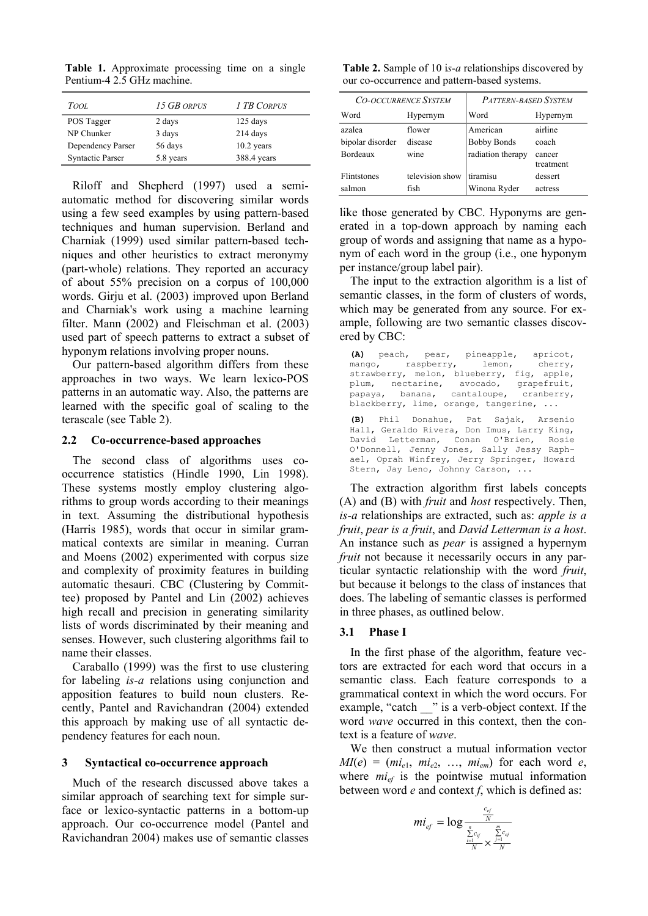**Table 1.** Approximate processing time on a single Pentium-4 2.5 GHz machine.

| Tool                    | 15 GB ORPUS | 1 TB CORPUS  |
|-------------------------|-------------|--------------|
| POS Tagger              | 2 days      | $125$ days   |
| NP Chunker              | 3 days      | 214 days     |
| Dependency Parser       | 56 days     | $10.2$ years |
| <b>Syntactic Parser</b> | 5.8 years   | 388.4 years  |

Riloff and Shepherd (1997) used a semiautomatic method for discovering similar words using a few seed examples by using pattern-based techniques and human supervision. Berland and Charniak (1999) used similar pattern-based techniques and other heuristics to extract meronymy (part-whole) relations. They reported an accuracy of about 55% precision on a corpus of 100,000 words. Girju et al. (2003) improved upon Berland and Charniak's work using a machine learning filter. Mann (2002) and Fleischman et al. (2003) used part of speech patterns to extract a subset of hyponym relations involving proper nouns.

Our pattern-based algorithm differs from these approaches in two ways. We learn lexico-POS patterns in an automatic way. Also, the patterns are learned with the specific goal of scaling to the terascale (see Table 2).

#### **2.2 Co-occurrence-based approaches**

The second class of algorithms uses cooccurrence statistics (Hindle 1990, Lin 1998). These systems mostly employ clustering algorithms to group words according to their meanings in text. Assuming the distributional hypothesis (Harris 1985), words that occur in similar grammatical contexts are similar in meaning. Curran and Moens (2002) experimented with corpus size and complexity of proximity features in building automatic thesauri. CBC (Clustering by Committee) proposed by Pantel and Lin (2002) achieves high recall and precision in generating similarity lists of words discriminated by their meaning and senses. However, such clustering algorithms fail to name their classes.

Caraballo (1999) was the first to use clustering for labeling *is-a* relations using conjunction and apposition features to build noun clusters. Recently, Pantel and Ravichandran (2004) extended this approach by making use of all syntactic dependency features for each noun.

#### **3 Syntactical co-occurrence approach**

Much of the research discussed above takes a similar approach of searching text for simple surface or lexico-syntactic patterns in a bottom-up approach. Our co-occurrence model (Pantel and Ravichandran 2004) makes use of semantic classes

**Table 2.** Sample of 10 i*s-a* relationships discovered by our co-occurrence and pattern-based systems.

| <b>CO-OCCURRENCE SYSTEM</b> |                 | <b>PATTERN-BASED SYSTEM</b> |                     |  |
|-----------------------------|-----------------|-----------------------------|---------------------|--|
| Word                        | Hypernym        | Word                        | Hypernym            |  |
| azalea                      | flower          | American                    | airline             |  |
| bipolar disorder            | disease         | <b>Bobby Bonds</b>          | coach               |  |
| Bordeaux                    | wine            | radiation therapy           | cancer<br>treatment |  |
| <b>Flintstones</b>          | television show | tiramisu                    | dessert             |  |
| salmon                      | fish            | Winona Ryder                | actress             |  |

like those generated by CBC. Hyponyms are generated in a top-down approach by naming each group of words and assigning that name as a hyponym of each word in the group (i.e., one hyponym per instance/group label pair).

The input to the extraction algorithm is a list of semantic classes, in the form of clusters of words, which may be generated from any source. For example, following are two semantic classes discovered by CBC:

**(A)** peach, pear, pineapple, apricot, mango, raspberry, lemon, cherry, strawberry, melon, blueberry, fig, apple, plum, nectarine, avocado, grapefruit,<br>papaya, banana, cantaloupe, cranberry, papaya, banana, cantaloupe, cranberry, blackberry, lime, orange, tangerine, ... **(B)** Phil Donahue, Pat Sajak, Arsenio Hall, Geraldo Rivera, Don Imus, Larry King, David Letterman, Conan O'Brien, O'Donnell, Jenny Jones, Sally Jessy Raphael, Oprah Winfrey, Jerry Springer, Howard Stern, Jay Leno, Johnny Carson, ...

The extraction algorithm first labels concepts (A) and (B) with *fruit* and *host* respectively. Then, *is-a* relationships are extracted, such as: *apple is a fruit*, *pear is a fruit*, and *David Letterman is a host*. An instance such as *pear* is assigned a hypernym *fruit* not because it necessarily occurs in any particular syntactic relationship with the word *fruit*, but because it belongs to the class of instances that does. The labeling of semantic classes is performed in three phases, as outlined below.

## **3.1 Phase I**

In the first phase of the algorithm, feature vectors are extracted for each word that occurs in a semantic class. Each feature corresponds to a grammatical context in which the word occurs. For example, "catch \_\_\_" is a verb-object context. If the word *wave* occurred in this context, then the context is a feature of *wave*.

We then construct a mutual information vector  $MI(e) = (mi_{e1}, mi_{e2}, \ldots, mi_{em})$  for each word *e*, where  $mi_{ef}$  is the pointwise mutual information between word *e* and context *f*, which is defined as:

$$
mi_{ef} = \log \frac{\frac{c_{ef}}{N}}{\frac{\sum\limits_{i=1}^{n} c_{if}}{N} \times \frac{\sum\limits_{j=1}^{m} c_{ef}}{N}}
$$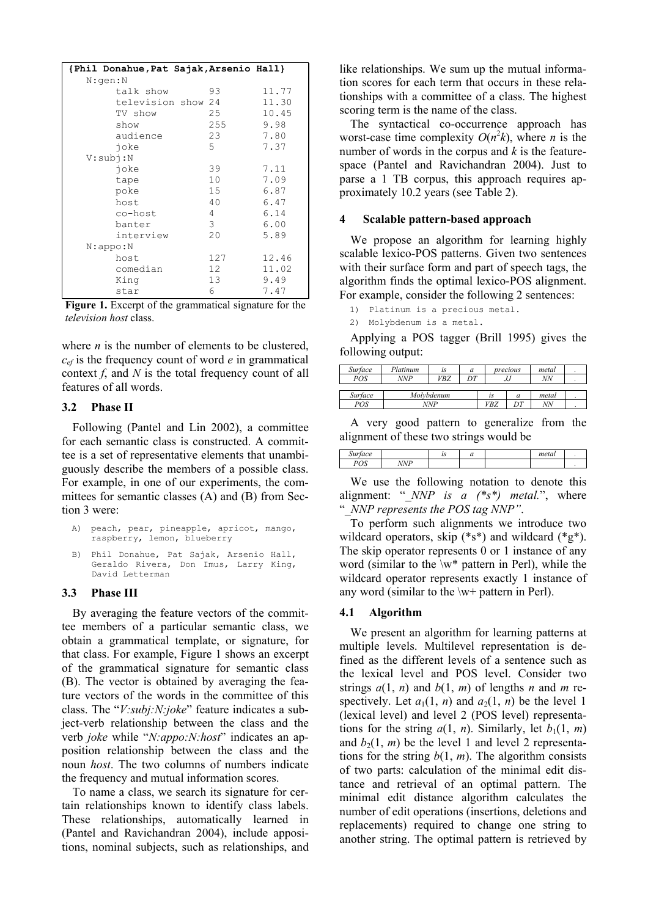| {Phil Donahue, Pat Sajak, Arsenio Hall} |                 |       |  |  |  |  |
|-----------------------------------------|-----------------|-------|--|--|--|--|
| N:qen:N                                 |                 |       |  |  |  |  |
| talk show                               | 93              | 11.77 |  |  |  |  |
| television show 24                      |                 | 11.30 |  |  |  |  |
| TV show                                 | 25              | 10.45 |  |  |  |  |
| show                                    | 255             | 9.98  |  |  |  |  |
| audience                                | 23              | 7.80  |  |  |  |  |
| ioke                                    | 5.              | 7.37  |  |  |  |  |
| V:subi:N                                |                 |       |  |  |  |  |
| joke                                    | 39              | 7.11  |  |  |  |  |
| tape                                    | 10              | 7.09  |  |  |  |  |
| poke                                    | 15              | 6.87  |  |  |  |  |
| host                                    | 40              | 6.47  |  |  |  |  |
| co-host                                 | 4               | 6.14  |  |  |  |  |
| banter                                  | 3               | 6.00  |  |  |  |  |
| interview                               | 20              | 5.89  |  |  |  |  |
| N:appo:N                                |                 |       |  |  |  |  |
| host                                    | 127             | 12.46 |  |  |  |  |
| comedian                                | 12 <sup>7</sup> | 11.02 |  |  |  |  |
| King                                    | 13 <sup>7</sup> | 9.49  |  |  |  |  |
| star                                    | 6               | 7.47  |  |  |  |  |

**Figure 1.** Excerpt of the grammatical signature for the *television host* class.

where *n* is the number of elements to be clustered, *cef* is the frequency count of word *e* in grammatical context *f*, and *N* is the total frequency count of all features of all words.

## **3.2 Phase II**

Following (Pantel and Lin 2002), a committee for each semantic class is constructed. A committee is a set of representative elements that unambiguously describe the members of a possible class. For example, in one of our experiments, the committees for semantic classes (A) and (B) from Section 3 were:

|                             |  | A) peach, pear, pineapple, apricot, mango, |  |
|-----------------------------|--|--------------------------------------------|--|
| raspberry, lemon, blueberry |  |                                            |  |

B) Phil Donahue, Pat Sajak, Arsenio Hall, Geraldo Rivera, Don Imus, Larry King, David Letterman

## **3.3 Phase III**

By averaging the feature vectors of the committee members of a particular semantic class, we obtain a grammatical template, or signature, for that class. For example, Figure 1 shows an excerpt of the grammatical signature for semantic class (B). The vector is obtained by averaging the feature vectors of the words in the committee of this class. The "*V:subj:N:joke*" feature indicates a subject-verb relationship between the class and the verb *joke* while "*N:appo:N:host*" indicates an apposition relationship between the class and the noun *host*. The two columns of numbers indicate the frequency and mutual information scores.

To name a class, we search its signature for certain relationships known to identify class labels. These relationships, automatically learned in (Pantel and Ravichandran 2004), include appositions, nominal subjects, such as relationships, and like relationships. We sum up the mutual information scores for each term that occurs in these relationships with a committee of a class. The highest scoring term is the name of the class.

The syntactical co-occurrence approach has worst-case time complexity  $O(n^2k)$ , where *n* is the number of words in the corpus and *k* is the featurespace (Pantel and Ravichandran 2004). Just to parse a 1 TB corpus, this approach requires approximately 10.2 years (see Table 2).

## **4 Scalable pattern-based approach**

We propose an algorithm for learning highly scalable lexico-POS patterns. Given two sentences with their surface form and part of speech tags, the algorithm finds the optimal lexico-POS alignment. For example, consider the following 2 sentences:

1) Platinum is a precious metal.

2) Molybdenum is a metal.

Applying a POS tagger (Brill 1995) gives the following output:

| Surface | Platinum   | is  | a  |     | precious | metal |  |
|---------|------------|-----|----|-----|----------|-------|--|
| POS     | NNP        | VBZ | ነፖ |     | IJJ      | NN    |  |
|         |            |     |    |     |          |       |  |
| Surface | Molvbdenum |     | 1S | a   | metal    |       |  |
| POS     | NNP        |     |    | VBZ | ገጦ       | NN    |  |

A very good pattern to generalize from the alignment of these two strings would be

| 1.1111<br>tace<br>$\mathcal{S}u$ |            | $\cdots$ | -<br>ч | meta |  |
|----------------------------------|------------|----------|--------|------|--|
| $D\cap C$<br>UIJ                 | <b>NNP</b> |          |        |      |  |

We use the following notation to denote this alignment:  $\cdot$  *NNP is a (\*s\*) metal.*<sup>*n*</sup>, where ì*\_NNP represents the POS tag NNPî*.

To perform such alignments we introduce two wildcard operators, skip (\*s\*) and wildcard (\*g\*). The skip operator represents 0 or 1 instance of any word (similar to the  $\wedge w^*$  pattern in Perl), while the wildcard operator represents exactly 1 instance of any word (similar to the \w+ pattern in Perl).

## **4.1 Algorithm**

We present an algorithm for learning patterns at multiple levels. Multilevel representation is defined as the different levels of a sentence such as the lexical level and POS level. Consider two strings  $a(1, n)$  and  $b(1, m)$  of lengths *n* and *m* respectively. Let  $a_1(1, n)$  and  $a_2(1, n)$  be the level 1 (lexical level) and level 2 (POS level) representations for the string  $a(1, n)$ . Similarly, let  $b_1(1, m)$ and  $b_2(1, m)$  be the level 1 and level 2 representations for the string  $b(1, m)$ . The algorithm consists of two parts: calculation of the minimal edit distance and retrieval of an optimal pattern. The minimal edit distance algorithm calculates the number of edit operations (insertions, deletions and replacements) required to change one string to another string. The optimal pattern is retrieved by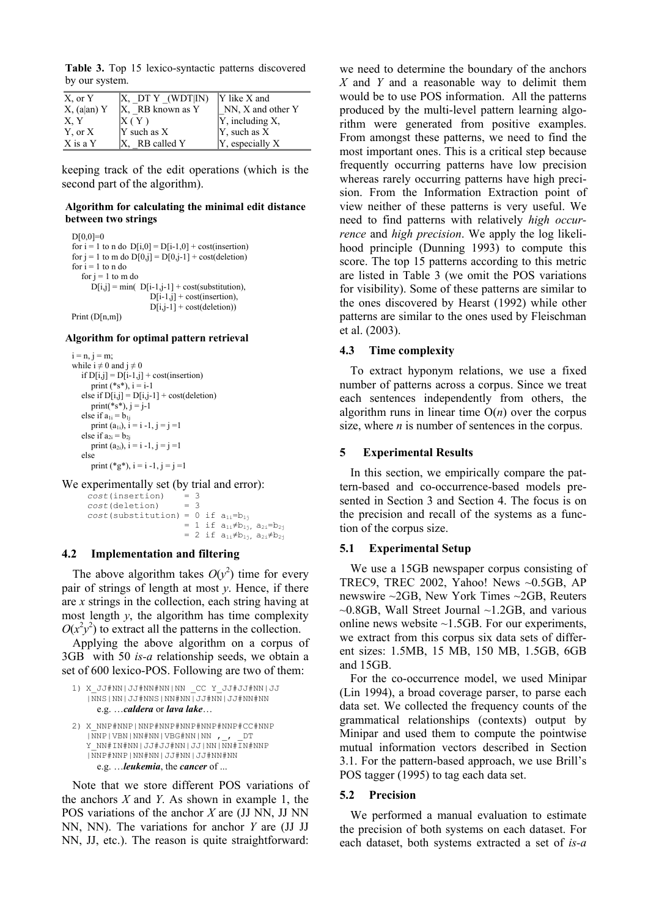**Table 3.** Top 15 lexico-syntactic patterns discovered by our system.

| X, or Y        | X, DTY (WDT IN)     | $ Y $ like $X$ and       |
|----------------|---------------------|--------------------------|
| $X$ , (a an) Y | $ X, RB$ known as Y | $NN$ , $X$ and other $Y$ |
| X, Y           | $\rm X$ ( Y )       | $ Y$ , including X,      |
| Y, or X        | $Y$ such as $X$     | $ Y$ , such as X         |
| X is a Y       | $X$ , RB called Y   | [Y, especially X         |

keeping track of the edit operations (which is the second part of the algorithm).

#### **Algorithm for calculating the minimal edit distance between two strings**

```
D[0,0]=0for i = 1 to n do D[i,0] = D[i-1,0] + cost(insertion)for j = 1 to m do D[0,j] = D[0,j-1] + cost(deletion)for i = 1 to n do
  for j = 1 to m do
     D[i,j] = min( D[i-1,j-1] + cost(substitution),D[i-1,i] + cost(insertion).
                      D[i,j-1] + cost(deletion))
```
Print (D[n,m])

#### **Algorithm for optimal pattern retrieval**

```
i = n, i = m;
while i \neq 0 and j \neq 0if D[i,j] = D[i-1,j] + cost(insertion)print (*s*), i = i-1else if D[i,j] = D[i,j-1] + cost(deletion)print(*s*), j = j-1else if a_{1i} = b_{1i}print (a<sub>1i</sub>), i = i - 1, j = j = 1else if a_{2i} = b_{2j}print (a_{2i}), i = i -1, j = j = 1 else 
      print (*g*), i = i - 1, j = j = 1
```
We experimentally set (by trial and error):

 $cost(insertion) = 3$ <br> $cost(delation) = 3$  $cost$ (deletion)  $cost$ (substitution) = 0 if  $a_{1i}=b_{1j}$ = 1 if  $a_{1i} \ne b_{1j}$ ,  $a_{2i} = b_{2j}$ = 2 if  $a_{1i} \ne b_{1j}$ ,  $a_{2i} \ne b_{2j}$ 

## **4.2 Implementation and filtering**

The above algorithm takes  $O(y^2)$  time for every pair of strings of length at most *y*. Hence, if there are *x* strings in the collection, each string having at most length  $y$ , the algorithm has time complexity  $O(x^2y^2)$  to extract all the patterns in the collection.

Applying the above algorithm on a corpus of 3GB with 50 *is-a* relationship seeds, we obtain a set of 600 lexico-POS. Following are two of them:

```
1) X_JJ#NN|JJ#NN#NN|NN _CC Y_JJ#JJ#NN|JJ 
   |NNS|NN|JJ#NNS|NN#NN|JJ#NN|JJ#NN#NN 
     e.g. ...caldera or lava lake...
```

```
2) X_NNP#NNP|NNP#NNP#NNP#NNP#NNP#CC#NNP 
    |\overline{\text{N}}\text{NP}|\text{VBN}|\text{NN}\# \text{NN}|\text{VBG}\# \text{NN}|\text{NN}, DT
    Y_NN#IN#NN|JJ#JJ#NN|JJ|NN|NN#IN#NNP
    |NNP#NNP|NN#NN|JJ#NN|JJ#NN#NN 
       e.g. Öleukemia, the cancer of ...
```
Note that we store different POS variations of the anchors *X* and *Y*. As shown in example 1, the POS variations of the anchor *X* are (JJ NN, JJ NN NN, NN). The variations for anchor *Y* are (JJ JJ NN, JJ, etc.). The reason is quite straightforward:

we need to determine the boundary of the anchors *X* and *Y* and a reasonable way to delimit them would be to use POS information. All the patterns produced by the multi-level pattern learning algorithm were generated from positive examples. From amongst these patterns, we need to find the most important ones. This is a critical step because frequently occurring patterns have low precision whereas rarely occurring patterns have high precision. From the Information Extraction point of view neither of these patterns is very useful. We need to find patterns with relatively *high occurrence* and *high precision*. We apply the log likelihood principle (Dunning 1993) to compute this score. The top 15 patterns according to this metric are listed in Table 3 (we omit the POS variations for visibility). Some of these patterns are similar to the ones discovered by Hearst (1992) while other patterns are similar to the ones used by Fleischman et al. (2003).

## **4.3 Time complexity**

To extract hyponym relations, we use a fixed number of patterns across a corpus. Since we treat each sentences independently from others, the algorithm runs in linear time  $O(n)$  over the corpus size, where *n* is number of sentences in the corpus.

## **5 Experimental Results**

In this section, we empirically compare the pattern-based and co-occurrence-based models presented in Section 3 and Section 4. The focus is on the precision and recall of the systems as a function of the corpus size.

## **5.1 Experimental Setup**

We use a 15GB newspaper corpus consisting of TREC9, TREC 2002, Yahoo! News ~0.5GB, AP newswire ~2GB, New York Times ~2GB, Reuters  $\sim$ 0.8GB, Wall Street Journal  $\sim$ 1.2GB, and various online news website  $\sim$ 1.5GB. For our experiments, we extract from this corpus six data sets of different sizes: 1.5MB, 15 MB, 150 MB, 1.5GB, 6GB and 15GB.

For the co-occurrence model, we used Minipar (Lin 1994), a broad coverage parser, to parse each data set. We collected the frequency counts of the grammatical relationships (contexts) output by Minipar and used them to compute the pointwise mutual information vectors described in Section 3.1. For the pattern-based approach, we use Brill's POS tagger (1995) to tag each data set.

## **5.2 Precision**

We performed a manual evaluation to estimate the precision of both systems on each dataset. For each dataset, both systems extracted a set of *is-a*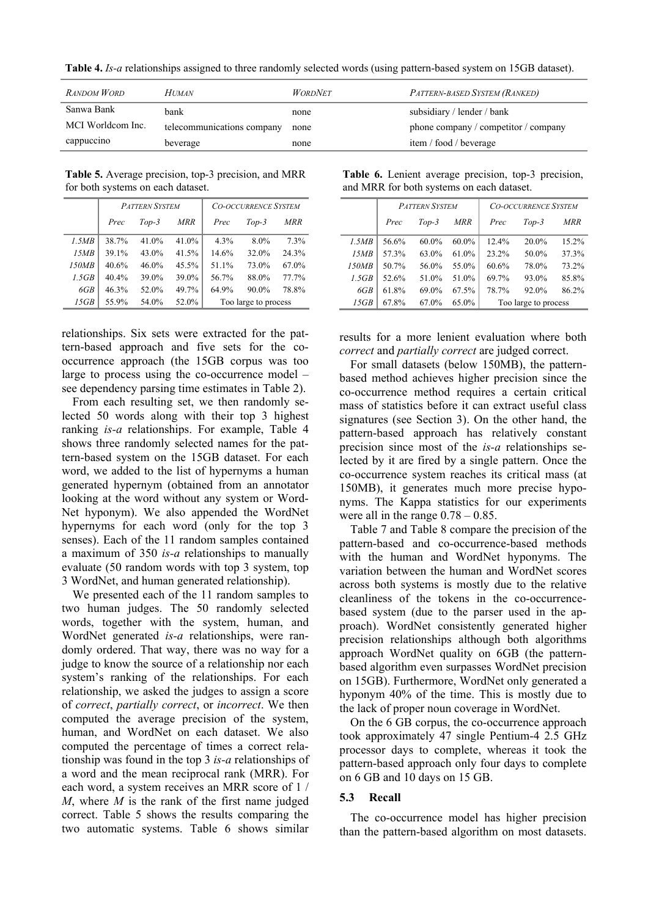**Table 4.** *Is-a* relationships assigned to three randomly selected words (using pattern-based system on 15GB dataset).

| <b>RANDOM WORD</b> | <b>HUMAN</b>               | <i>WORDNET</i> | PATTERN-BASED SYSTEM (RANKED)        |
|--------------------|----------------------------|----------------|--------------------------------------|
| Sanwa Bank         | bank                       | none           | subsidiary / lender / bank           |
| MCI Worldcom Inc.  | telecommunications company | none           | phone company / competitor / company |
| cappuccino         | beverage                   | none           | item / food / beverage               |

**Table 5.** Average precision, top-3 precision, and MRR for both systems on each dataset.

|       | <b>PATTERN SYSTEM</b> |          |            | <b>CO-OCCURRENCE SYSTEM</b> |          |       |
|-------|-----------------------|----------|------------|-----------------------------|----------|-------|
|       | Prec                  | $Top-3$  | <b>MRR</b> | Prec                        | $Top-3$  | MRR   |
| 1.5MB | 38.7%                 | $41.0\%$ | $41.0\%$   | 4.3%                        | $8.0\%$  | 7.3%  |
| 15MB  | 39.1%                 | 43.0%    | 41.5%      | 14.6%                       | 32.0%    | 24.3% |
| 150MB | 40.6%                 | $46.0\%$ | 45.5%      | 51.1%                       | 73.0%    | 67.0% |
| 1.5GB | 40.4%                 | 39.0%    | 39.0%      | 56.7%                       | 88.0%    | 77.7% |
| 6GB   | 46.3%                 | 52.0%    | 49.7%      | 64.9%                       | $90.0\%$ | 78.8% |
| 15GB  | 55.9%                 | 54.0%    | 52.0%      | Too large to process        |          |       |

relationships. Six sets were extracted for the pattern-based approach and five sets for the cooccurrence approach (the 15GB corpus was too large to process using the co-occurrence model  $$ see dependency parsing time estimates in Table 2).

From each resulting set, we then randomly selected 50 words along with their top 3 highest ranking *is-a* relationships. For example, Table 4 shows three randomly selected names for the pattern-based system on the 15GB dataset. For each word, we added to the list of hypernyms a human generated hypernym (obtained from an annotator looking at the word without any system or Word-Net hyponym). We also appended the WordNet hypernyms for each word (only for the top 3 senses). Each of the 11 random samples contained a maximum of 350 *is-a* relationships to manually evaluate (50 random words with top 3 system, top 3 WordNet, and human generated relationship).

We presented each of the 11 random samples to two human judges. The 50 randomly selected words, together with the system, human, and WordNet generated *is-a* relationships, were randomly ordered. That way, there was no way for a judge to know the source of a relationship nor each system's ranking of the relationships. For each relationship, we asked the judges to assign a score of *correct*, *partially correct*, or *incorrect*. We then computed the average precision of the system, human, and WordNet on each dataset. We also computed the percentage of times a correct relationship was found in the top 3 *is-a* relationships of a word and the mean reciprocal rank (MRR). For each word, a system receives an MRR score of 1 / *M*, where *M* is the rank of the first name judged correct. Table 5 shows the results comparing the two automatic systems. Table 6 shows similar

|  |                                           | Table 6. Lenient average precision, top-3 precision, |
|--|-------------------------------------------|------------------------------------------------------|
|  | and MRR for both systems on each dataset. |                                                      |

|       | <b>PATTERN SYSTEM</b> |          |            | <b>CO-OCCURRENCE SYSTEM</b> |          |       |  |
|-------|-----------------------|----------|------------|-----------------------------|----------|-------|--|
|       | Prec                  | $Top-3$  | <b>MRR</b> | Prec                        | $Top-3$  | MRR   |  |
| 1.5MB | 56.6%                 | $60.0\%$ | $60.0\%$   | 12.4%                       | $20.0\%$ | 15.2% |  |
| 15MB  | 57.3%                 | 63.0%    | $61.0\%$   | 23.2%                       | 50.0%    | 37.3% |  |
| 150MB | 50.7%                 | 56.0%    | 55.0%      | 60.6%                       | 78.0%    | 73.2% |  |
| 1.5GB | 52.6%                 | 51.0%    | 51.0%      | 69.7%                       | 93.0%    | 85.8% |  |
| 6GB   | 61.8%                 | 69.0%    | 67.5%      | 78.7%                       | 92.0%    | 86.2% |  |
| 15GB  | 67.8%                 | 67.0%    | 65.0%      | Too large to process        |          |       |  |

results for a more lenient evaluation where both *correct* and *partially correct* are judged correct.

For small datasets (below 150MB), the patternbased method achieves higher precision since the co-occurrence method requires a certain critical mass of statistics before it can extract useful class signatures (see Section 3). On the other hand, the pattern-based approach has relatively constant precision since most of the *is-a* relationships selected by it are fired by a single pattern. Once the co-occurrence system reaches its critical mass (at 150MB), it generates much more precise hyponyms. The Kappa statistics for our experiments were all in the range  $0.78 - 0.85$ .

Table 7 and Table 8 compare the precision of the pattern-based and co-occurrence-based methods with the human and WordNet hyponyms. The variation between the human and WordNet scores across both systems is mostly due to the relative cleanliness of the tokens in the co-occurrencebased system (due to the parser used in the approach). WordNet consistently generated higher precision relationships although both algorithms approach WordNet quality on 6GB (the patternbased algorithm even surpasses WordNet precision on 15GB). Furthermore, WordNet only generated a hyponym 40% of the time. This is mostly due to the lack of proper noun coverage in WordNet.

On the 6 GB corpus, the co-occurrence approach took approximately 47 single Pentium-4 2.5 GHz processor days to complete, whereas it took the pattern-based approach only four days to complete on 6 GB and 10 days on 15 GB.

## **5.3 Recall**

The co-occurrence model has higher precision than the pattern-based algorithm on most datasets.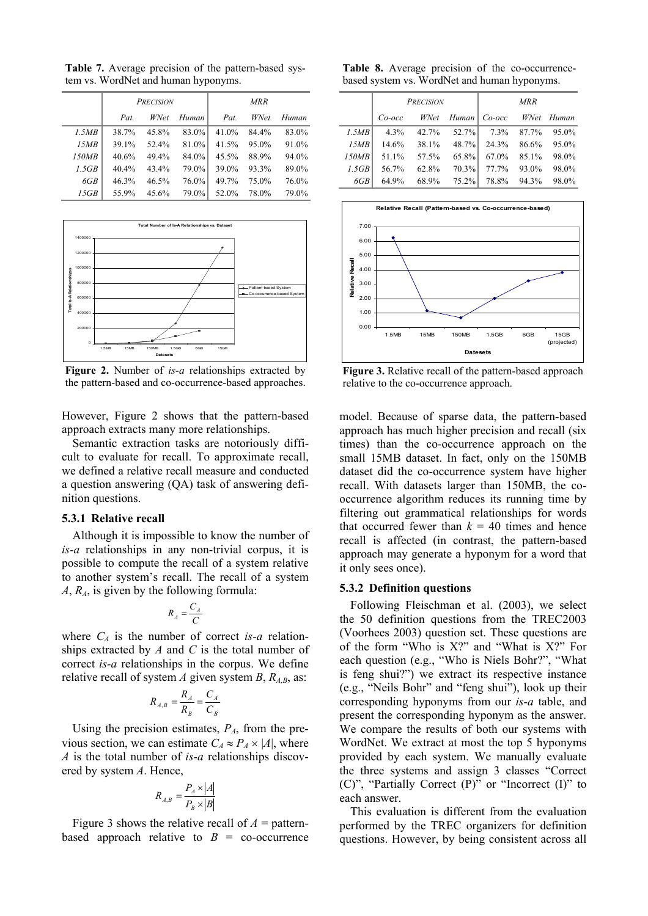**Table 7.** Average precision of the pattern-based system vs. WordNet and human hyponyms.

|       | PRECISION |          |          | <b>MRR</b> |       |       |  |
|-------|-----------|----------|----------|------------|-------|-------|--|
|       | Pat.      | WNet     | Human    | Pat.       | WNet  | Human |  |
| 1.5MB | 38.7%     | 45.8%    | 83.0%    | 41.0%      | 84.4% | 83.0% |  |
| 15MB  | 39.1%     | 52.4%    | $81.0\%$ | 41.5%      | 95.0% | 91.0% |  |
| 150MB | 40.6%     | 49.4%    | 84.0%    | $45.5\%$   | 88.9% | 94.0% |  |
| 1.5GB | 40.4%     | 43.4%    | 79.0%    | 39.0%      | 93.3% | 89.0% |  |
| 6GB   | 46.3%     | $46.5\%$ | 76.0%    | 49.7%      | 75.0% | 76.0% |  |
| 15GB  | 55.9%     | 45.6%    | 79.0%    | 52.0%      | 78.0% | 79.0% |  |



**Figure 2.** Number of *is-a* relationships extracted by the pattern-based and co-occurrence-based approaches.

However, Figure 2 shows that the pattern-based approach extracts many more relationships.

Semantic extraction tasks are notoriously difficult to evaluate for recall. To approximate recall, we defined a relative recall measure and conducted a question answering (QA) task of answering definition questions.

## **5.3.1 Relative recall**

Although it is impossible to know the number of *is-a* relationships in any non-trivial corpus, it is possible to compute the recall of a system relative to another system's recall. The recall of a system *A*, *RA*, is given by the following formula:

$$
R_A = \frac{C_A}{C}
$$

where  $C_A$  is the number of correct *is-a* relationships extracted by *A* and *C* is the total number of correct *is-a* relationships in the corpus. We define relative recall of system *A* given system *B*,  $R_{A,B}$ , as:

$$
R_{A,B} = \frac{R_A}{R_B} = \frac{C_A}{C_B}
$$

Using the precision estimates,  $P_A$ , from the previous section, we can estimate  $C_A \approx P_A \times |A|$ , where *A* is the total number of *is-a* relationships discovered by system *A*. Hence,

$$
R_{A,B} = \frac{P_A \times |A|}{P_B \times |B|}
$$

Figure 3 shows the relative recall of  $A =$  patternbased approach relative to  $B = \text{co-occurrence}$ 

**Table 8.** Average precision of the co-occurrencebased system vs. WordNet and human hyponyms.

|       | <b>PRECISION</b> |       |          | <b>MRR</b>        |       |       |
|-------|------------------|-------|----------|-------------------|-------|-------|
|       | $Co\text{-}occ$  | WNet  | Human    | Co-occ WNet Human |       |       |
| 1.5MB | $4.3\%$          | 42.7% | $52.7\%$ | 7.3%              | 87.7% | 95.0% |
| 15MB  | 14.6%            | 38.1% | $48.7\%$ | 24.3%             | 86.6% | 95.0% |
| 150MB | 51.1%            | 57.5% | $65.8\%$ | 67.0%             | 85.1% | 98.0% |
| 1.5GB | 56.7%            | 62.8% | $70.3\%$ | 77.7%             | 93.0% | 98.0% |
| 6GB   | 64.9%            | 68.9% | $75.2\%$ | 78.8%             | 94.3% | 98.0% |



**Figure 3.** Relative recall of the pattern-based approach relative to the co-occurrence approach.

model. Because of sparse data, the pattern-based approach has much higher precision and recall (six times) than the co-occurrence approach on the small 15MB dataset. In fact, only on the 150MB dataset did the co-occurrence system have higher recall. With datasets larger than 150MB, the cooccurrence algorithm reduces its running time by filtering out grammatical relationships for words that occurred fewer than  $k = 40$  times and hence recall is affected (in contrast, the pattern-based approach may generate a hyponym for a word that it only sees once).

## **5.3.2 Definition questions**

Following Fleischman et al. (2003), we select the 50 definition questions from the TREC2003 (Voorhees 2003) question set. These questions are of the form "Who is  $X$ ?" and "What is  $X$ ?" For each question (e.g., "Who is Niels Bohr?", "What is feng shui?") we extract its respective instance  $(e.g., "Neils Bohr" and "feng shui"), look up their$ corresponding hyponyms from our *is-a* table, and present the corresponding hyponym as the answer. We compare the results of both our systems with WordNet. We extract at most the top 5 hyponyms provided by each system. We manually evaluate the three systems and assign 3 classes "Correct"  $(C)$ ", "Partially Correct  $(P)$ " or "Incorrect  $(I)$ " to each answer.

This evaluation is different from the evaluation performed by the TREC organizers for definition questions. However, by being consistent across all